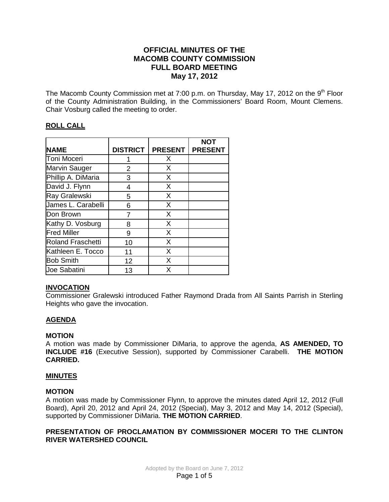# **OFFICIAL MINUTES OF THE MACOMB COUNTY COMMISSION FULL BOARD MEETING May 17, 2012**

The Macomb County Commission met at 7:00 p.m. on Thursday, May 17, 2012 on the  $9<sup>th</sup>$  Floor of the County Administration Building, in the Commissioners' Board Room, Mount Clemens. Chair Vosburg called the meeting to order.

# **ROLL CALL**

|                          |                 |                | <b>NOT</b>     |
|--------------------------|-----------------|----------------|----------------|
| <b>NAME</b>              | <b>DISTRICT</b> | <b>PRESENT</b> | <b>PRESENT</b> |
| Toni Moceri              |                 | X              |                |
| Marvin Sauger            | 2               | X              |                |
| Phillip A. DiMaria       | 3               | X              |                |
| David J. Flynn           | 4               | X              |                |
| Ray Gralewski            | 5               | X              |                |
| James L. Carabelli       | 6               | X              |                |
| Don Brown                |                 | X              |                |
| Kathy D. Vosburg         | 8               | X              |                |
| <b>Fred Miller</b>       | 9               | X              |                |
| <b>Roland Fraschetti</b> | 10              | X              |                |
| Kathleen E. Tocco        | 11              | X              |                |
| <b>Bob Smith</b>         | 12              | X              |                |
| <b>Joe Sabatini</b>      | 13              | X              |                |

# **INVOCATION**

Commissioner Gralewski introduced Father Raymond Drada from All Saints Parrish in Sterling Heights who gave the invocation.

# **AGENDA**

### **MOTION**

A motion was made by Commissioner DiMaria, to approve the agenda, **AS AMENDED, TO INCLUDE #16** (Executive Session), supported by Commissioner Carabelli. **THE MOTION CARRIED.** 

### **MINUTES**

#### **MOTION**

A motion was made by Commissioner Flynn, to approve the minutes dated April 12, 2012 (Full Board), April 20, 2012 and April 24, 2012 (Special), May 3, 2012 and May 14, 2012 (Special), supported by Commissioner DiMaria. **THE MOTION CARRIED**.

## **PRESENTATION OF PROCLAMATION BY COMMISSIONER MOCERI TO THE CLINTON RIVER WATERSHED COUNCIL**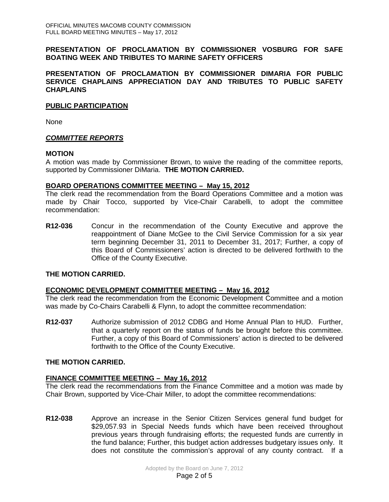### **PRESENTATION OF PROCLAMATION BY COMMISSIONER VOSBURG FOR SAFE BOATING WEEK AND TRIBUTES TO MARINE SAFETY OFFICERS**

#### **PRESENTATION OF PROCLAMATION BY COMMISSIONER DIMARIA FOR PUBLIC SERVICE CHAPLAINS APPRECIATION DAY AND TRIBUTES TO PUBLIC SAFETY CHAPLAINS**

### **PUBLIC PARTICIPATION**

None

### *COMMITTEE REPORTS*

#### **MOTION**

A motion was made by Commissioner Brown, to waive the reading of the committee reports, supported by Commissioner DiMaria. **THE MOTION CARRIED.** 

#### **BOARD OPERATIONS COMMITTEE MEETING – May 15, 2012**

The clerk read the recommendation from the Board Operations Committee and a motion was made by Chair Tocco, supported by Vice-Chair Carabelli, to adopt the committee recommendation:

**R12-036** Concur in the recommendation of the County Executive and approve the reappointment of Diane McGee to the Civil Service Commission for a six year term beginning December 31, 2011 to December 31, 2017; Further, a copy of this Board of Commissioners' action is directed to be delivered forthwith to the Office of the County Executive.

### **THE MOTION CARRIED.**

#### **ECONOMIC DEVELOPMENT COMMITTEE MEETING – May 16, 2012**

The clerk read the recommendation from the Economic Development Committee and a motion was made by Co-Chairs Carabelli & Flynn, to adopt the committee recommendation:

**R12-037** Authorize submission of 2012 CDBG and Home Annual Plan to HUD. Further, that a quarterly report on the status of funds be brought before this committee. Further, a copy of this Board of Commissioners' action is directed to be delivered forthwith to the Office of the County Executive.

#### **THE MOTION CARRIED.**

### **FINANCE COMMITTEE MEETING – May 16, 2012**

The clerk read the recommendations from the Finance Committee and a motion was made by Chair Brown, supported by Vice-Chair Miller, to adopt the committee recommendations:

**R12-038** Approve an increase in the Senior Citizen Services general fund budget for \$29,057.93 in Special Needs funds which have been received throughout previous years through fundraising efforts; the requested funds are currently in the fund balance; Further, this budget action addresses budgetary issues only. It does not constitute the commission's approval of any county contract. If a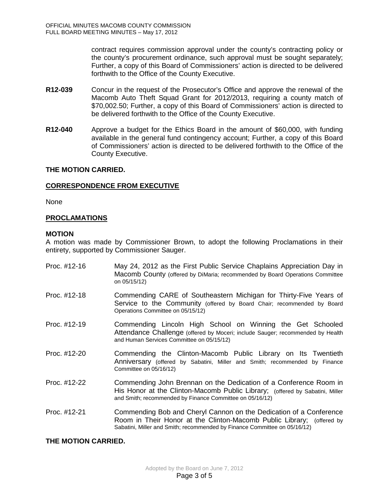contract requires commission approval under the county's contracting policy or the county's procurement ordinance, such approval must be sought separately; Further, a copy of this Board of Commissioners' action is directed to be delivered forthwith to the Office of the County Executive.

- **R12-039** Concur in the request of the Prosecutor's Office and approve the renewal of the Macomb Auto Theft Squad Grant for 2012/2013, requiring a county match of \$70,002.50; Further, a copy of this Board of Commissioners' action is directed to be delivered forthwith to the Office of the County Executive.
- **R12-040** Approve a budget for the Ethics Board in the amount of \$60,000, with funding available in the general fund contingency account; Further, a copy of this Board of Commissioners' action is directed to be delivered forthwith to the Office of the County Executive.

### **THE MOTION CARRIED.**

### **CORRESPONDENCE FROM EXECUTIVE**

None

### **PROCLAMATIONS**

### **MOTION**

A motion was made by Commissioner Brown, to adopt the following Proclamations in their entirety, supported by Commissioner Sauger.

- Proc. #12-16 May 24, 2012 as the First Public Service Chaplains Appreciation Day in Macomb County (offered by DiMaria; recommended by Board Operations Committee on 05/15/12)
- Proc. #12-18 Commending CARE of Southeastern Michigan for Thirty-Five Years of Service to the Community (offered by Board Chair; recommended by Board Operations Committee on 05/15/12)
- Proc. #12-19 Commending Lincoln High School on Winning the Get Schooled Attendance Challenge (offered by Moceri; include Sauger; recommended by Health and Human Services Committee on 05/15/12)
- Proc. #12-20 Commending the Clinton-Macomb Public Library on Its Twentieth Anniversary (offered by Sabatini, Miller and Smith; recommended by Finance Committee on 05/16/12)
- Proc. #12-22 Commending John Brennan on the Dedication of a Conference Room in His Honor at the Clinton-Macomb Public Library; (offered by Sabatini, Miller and Smith; recommended by Finance Committee on 05/16/12)
- Proc. #12-21 Commending Bob and Cheryl Cannon on the Dedication of a Conference Room in Their Honor at the Clinton-Macomb Public Library; (offered by Sabatini, Miller and Smith; recommended by Finance Committee on 05/16/12)

### **THE MOTION CARRIED.**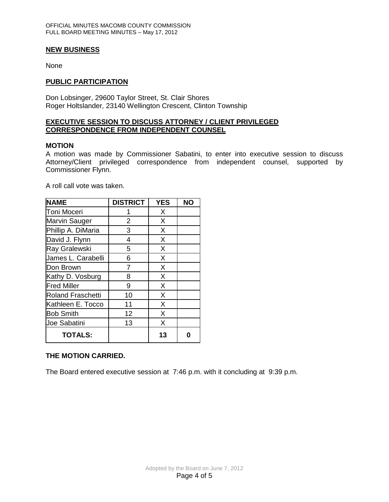#### **NEW BUSINESS**

None

#### **PUBLIC PARTICIPATION**

Don Lobsinger, 29600 Taylor Street, St. Clair Shores Roger Holtslander, 23140 Wellington Crescent, Clinton Township

#### **EXECUTIVE SESSION TO DISCUSS ATTORNEY / CLIENT PRIVILEGED CORRESPONDENCE FROM INDEPENDENT COUNSEL**

#### **MOTION**

A motion was made by Commissioner Sabatini, to enter into executive session to discuss Attorney/Client privileged correspondence from independent counsel, supported by Commissioner Flynn.

A roll call vote was taken.

| <b>NAME</b>              | <b>DISTRICT</b> | <b>YES</b> | <b>NO</b> |
|--------------------------|-----------------|------------|-----------|
| <b>Toni Moceri</b>       |                 | X          |           |
| Marvin Sauger            | 2               | X          |           |
| Phillip A. DiMaria       | 3               | X          |           |
| David J. Flynn           | 4               | X          |           |
| Ray Gralewski            | 5               | X          |           |
| James L. Carabelli       | 6               | X          |           |
| Don Brown                | 7               | X          |           |
| Kathy D. Vosburg         | 8               | X          |           |
| <b>Fred Miller</b>       | 9               | X          |           |
| <b>Roland Fraschetti</b> | 10              | X          |           |
| Kathleen E. Tocco        | 11              | X          |           |
| <b>Bob Smith</b>         | 12              | X          |           |
| <b>Joe Sabatini</b>      | 13              | X          |           |
| <b>TOTALS:</b>           |                 | 13         |           |

#### **THE MOTION CARRIED.**

The Board entered executive session at 7:46 p.m. with it concluding at 9:39 p.m.